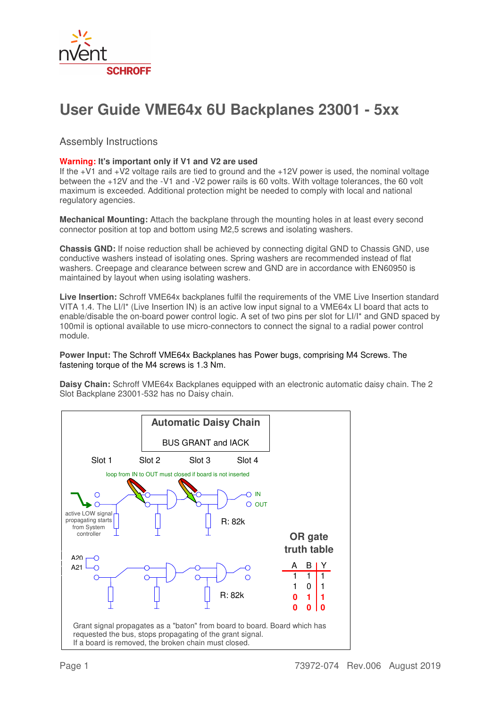

## **User Guide VME64x 6U Backplanes 23001 - 5xx**

Assembly Instructions

## **Warning: It's important only if V1 and V2 are used**

If the +V1 and +V2 voltage rails are tied to ground and the +12V power is used, the nominal voltage between the +12V and the -V1 and -V2 power rails is 60 volts. With voltage tolerances, the 60 volt maximum is exceeded. Additional protection might be needed to comply with local and national regulatory agencies.

**Mechanical Mounting:** Attach the backplane through the mounting holes in at least every second connector position at top and bottom using M2,5 screws and isolating washers.

**Chassis GND:** If noise reduction shall be achieved by connecting digital GND to Chassis GND, use conductive washers instead of isolating ones. Spring washers are recommended instead of flat washers. Creepage and clearance between screw and GND are in accordance with EN60950 is maintained by layout when using isolating washers.

**Live Insertion:** Schroff VME64x backplanes fulfil the requirements of the VME Live Insertion standard VITA 1.4. The LI/I\* (Live Insertion IN) is an active low input signal to a VME64x LI board that acts to enable/disable the on-board power control logic. A set of two pins per slot for LI/I\* and GND spaced by 100mil is optional available to use micro-connectors to connect the signal to a radial power control module.

## **Power Input:** The Schroff VME64x Backplanes has Power bugs, comprising M4 Screws. The fastening torque of the M4 screws is 1.3 Nm.

**Daisy Chain:** Schroff VME64x Backplanes equipped with an electronic automatic daisy chain. The 2 Slot Backplane 23001-532 has no Daisy chain.